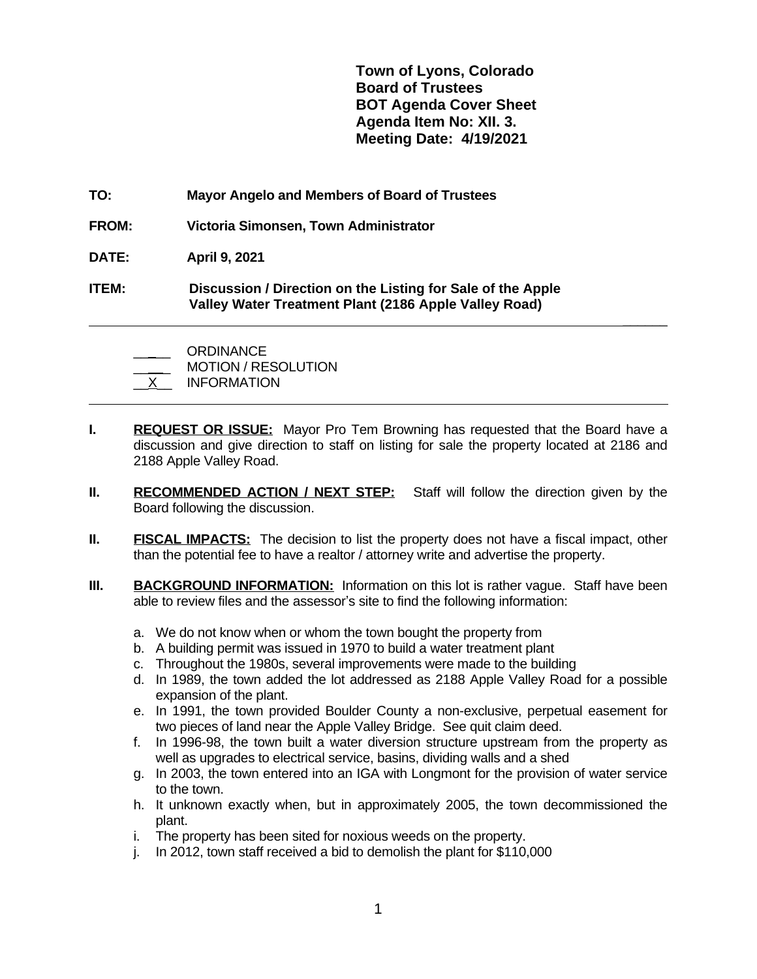**Town of Lyons, Colorado Board of Trustees BOT Agenda Cover Sheet Agenda Item No: XII. 3. Meeting Date: 4/19/2021**

 **\_\_\_\_\_\_**

- **TO: Mayor Angelo and Members of Board of Trustees**
- **FROM: Victoria Simonsen, Town Administrator**
- **DATE: April 9, 2021**

 $\overline{a}$ 

**ITEM: Discussion / Direction on the Listing for Sale of the Apple Valley Water Treatment Plant (2186 Apple Valley Road)**

ORDINANCE MOTION / RESOLUTION \_\_X\_\_ INFORMATION

- **I. REQUEST OR ISSUE:** Mayor Pro Tem Browning has requested that the Board have a discussion and give direction to staff on listing for sale the property located at 2186 and 2188 Apple Valley Road.
- **II. RECOMMENDED ACTION / NEXT STEP:** Staff will follow the direction given by the Board following the discussion.
- **II. FISCAL IMPACTS:** The decision to list the property does not have a fiscal impact, other than the potential fee to have a realtor / attorney write and advertise the property.
- **III. BACKGROUND INFORMATION:** Information on this lot is rather vague. Staff have been able to review files and the assessor's site to find the following information:
	- a. We do not know when or whom the town bought the property from
	- b. A building permit was issued in 1970 to build a water treatment plant
	- c. Throughout the 1980s, several improvements were made to the building
	- d. In 1989, the town added the lot addressed as 2188 Apple Valley Road for a possible expansion of the plant.
	- e. In 1991, the town provided Boulder County a non-exclusive, perpetual easement for two pieces of land near the Apple Valley Bridge. See quit claim deed.
	- f. In 1996-98, the town built a water diversion structure upstream from the property as well as upgrades to electrical service, basins, dividing walls and a shed
	- g. In 2003, the town entered into an IGA with Longmont for the provision of water service to the town.
	- h. It unknown exactly when, but in approximately 2005, the town decommissioned the plant.
	- i. The property has been sited for noxious weeds on the property.
	- j. In 2012, town staff received a bid to demolish the plant for \$110,000